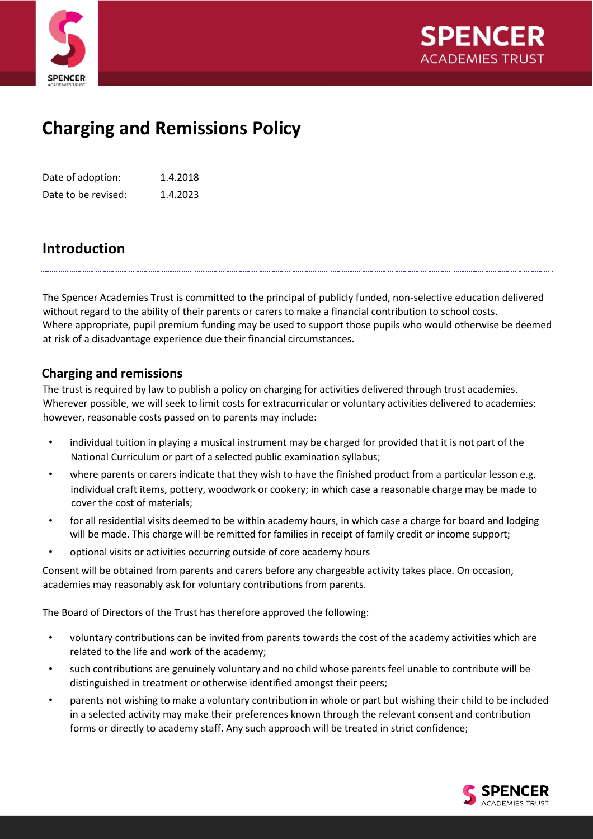



## **Charging and Remissions Policy**

Date of adoption: 1.4.2018 Date to be revised: 1.4.2023

## **Introduction**

The Spencer Academies Trust is committed to the principal of publicly funded, non-selective education delivered without regard to the ability of their parents or carers to make a financial contribution to school costs. Where appropriate, pupil premium funding may be used to support those pupils who would otherwise be deemed at risk of a disadvantage experience due their financial circumstances.

## **Charging and remissions**

The trust is required by law to publish a policy on charging for activities delivered through trust academies. Wherever possible, we will seek to limit costs for extracurricular or voluntary activities delivered to academies: however, reasonable costs passed on to parents may include:

- individual tuition in playing a musical instrument may be charged for provided that it is not part of the National Curriculum or part of a selected public examination syllabus;
- where parents or carers indicate that they wish to have the finished product from a particular lesson e.g. individual craft items, pottery, woodwork or cookery; in which case a reasonable charge may be made to cover the cost of materials;
- for all residential visits deemed to be within academy hours, in which case a charge for board and lodging will be made. This charge will be remitted for families in receipt of family credit or income support;
- optional visits or activities occurring outside of core academy hours

Consent will be obtained from parents and carers before any chargeable activity takes place. On occasion, academies may reasonably ask for voluntary contributions from parents.

The Board of Directors of the Trust has therefore approved the following:

- voluntary contributions can be invited from parents towards the cost of the academy activities which are related to the life and work of the academy;
- such contributions are genuinely voluntary and no child whose parents feel unable to contribute will be distinguished in treatment or otherwise identified amongst their peers;
- parents not wishing to make a voluntary contribution in whole or part but wishing their child to be included in a selected activity may make their preferences known through the relevant consent and contribution forms or directly to academy staff. Any such approach will be treated in strict confidence;